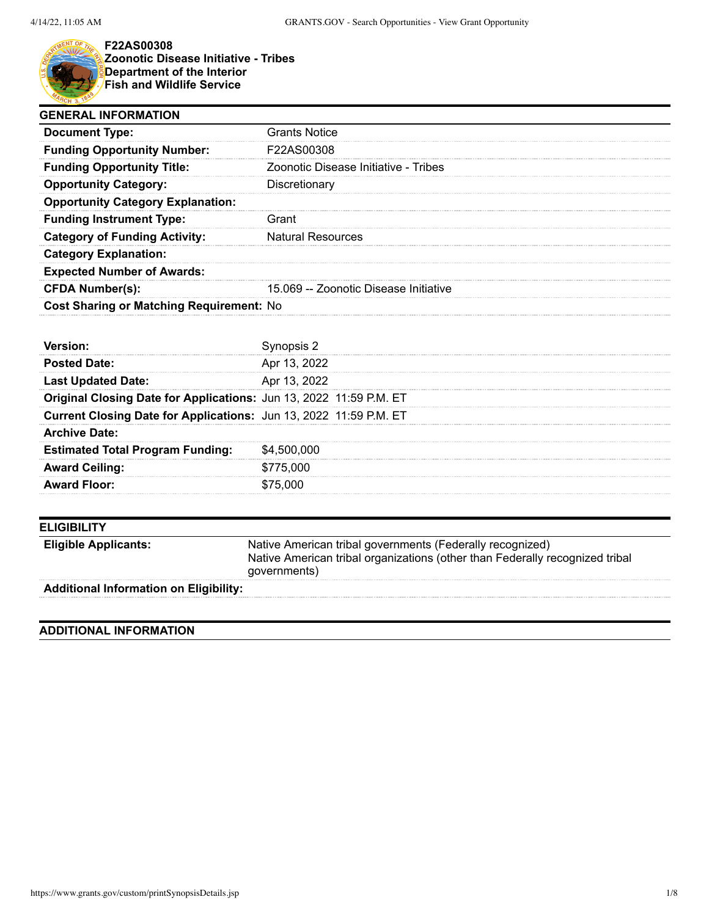

**F22AS00308 Zoonotic Disease Initiative - Tribes Department of the Interior Fish and Wildlife Service**

| <b>GENERAL INFORMATION</b>               |                                       |  |
|------------------------------------------|---------------------------------------|--|
| <b>Document Type:</b>                    | Grants Notice                         |  |
| <b>Funding Opportunity Number:</b>       | <b>F22AS00308</b>                     |  |
| <b>Funding Opportunity Title:</b>        | Zoonotic Disease Initiative - Tribes  |  |
| <b>Opportunity Category:</b>             | Discretionary                         |  |
| <b>Opportunity Category Explanation:</b> |                                       |  |
| <b>Funding Instrument Type:</b>          | Grant                                 |  |
| <b>Category of Funding Activity:</b>     | <b>Natural Resources</b>              |  |
| <b>Category Explanation:</b>             |                                       |  |
| <b>Expected Number of Awards:</b>        |                                       |  |
| <b>CFDA Number(s):</b>                   | 15.069 -- Zoonotic Disease Initiative |  |
| Cost Sharing or Matching Requirement: No |                                       |  |

| <b>Posted Date:</b>                                                | Apr 13, 2022 |
|--------------------------------------------------------------------|--------------|
| <b>Last Updated Date:</b>                                          | Apr 13, 2022 |
| Original Closing Date for Applications: Jun 13, 2022 11:59 P.M. ET |              |
| Current Closing Date for Applications: Jun 13, 2022 11:59 P.M. ET  |              |
| <b>Archive Date:</b>                                               |              |
| <b>Estimated Total Program Funding:</b>                            | \$4,500,000  |
| <b>Award Ceiling:</b>                                              | \$775,000    |
| <b>Award Floor:</b>                                                | \$75.000     |

| <b>ELIGIBILITY</b>                            |                                                                                                                                                           |
|-----------------------------------------------|-----------------------------------------------------------------------------------------------------------------------------------------------------------|
| <b>Eligible Applicants:</b>                   | Native American tribal governments (Federally recognized)<br>Native American tribal organizations (other than Federally recognized tribal<br>governments) |
| <b>Additional Information on Eligibility:</b> |                                                                                                                                                           |

# **ADDITIONAL INFORMATION**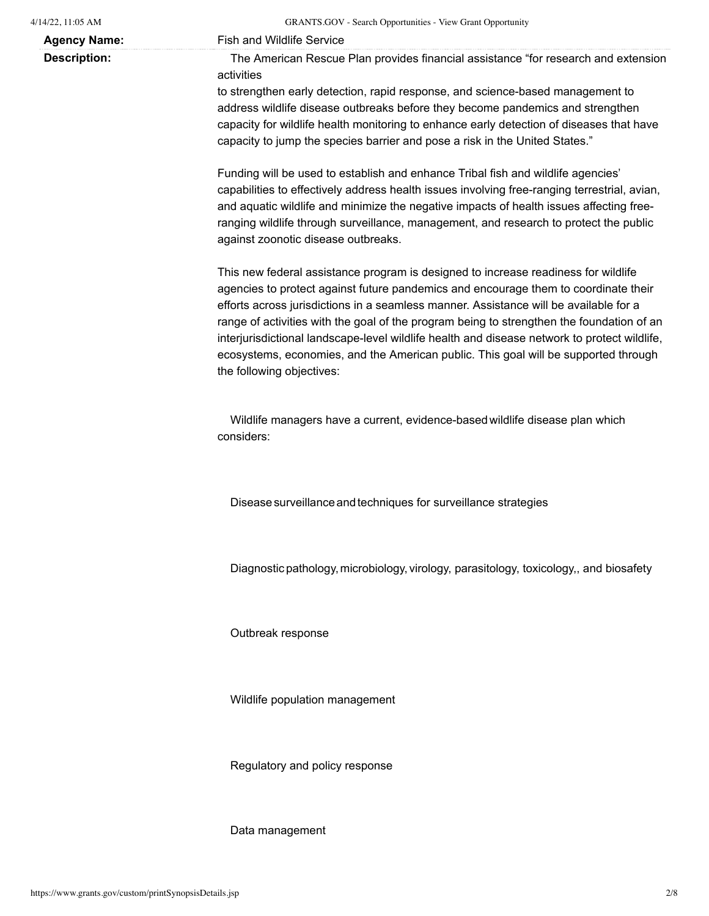**Agency Name:** Fish and Wildlife Service

**Description:** The American Rescue Plan provides financial assistance "for research and extension activities

> to strengthen early detection, rapid response, and science-based management to address wildlife disease outbreaks before they become pandemics and strengthen capacity for wildlife health monitoring to enhance early detection of diseases that have capacity to jump the species barrier and pose a risk in the United States."

> Funding will be used to establish and enhance Tribal fish and wildlife agencies' capabilities to effectively address health issues involving free-ranging terrestrial, avian, and aquatic wildlife and minimize the negative impacts of health issues affecting freeranging wildlife through surveillance, management, and research to protect the public against zoonotic disease outbreaks.

> This new federal assistance program is designed to increase readiness for wildlife agencies to protect against future pandemics and encourage them to coordinate their efforts across jurisdictions in a seamless manner. Assistance will be available for a range of activities with the goal of the program being to strengthen the foundation of an interjurisdictional landscape-level wildlife health and disease network to protect wildlife, ecosystems, economies, and the American public. This goal will be supported through the following objectives:

Wildlife managers have a current, evidence-basedwildlife disease plan which considers:

Disease surveillance and techniques for surveillance strategies

Diagnostic pathology, microbiology, virology, parasitology, toxicology,, and biosafety

Outbreak response

Wildlife population management

Regulatory and policy response

Data management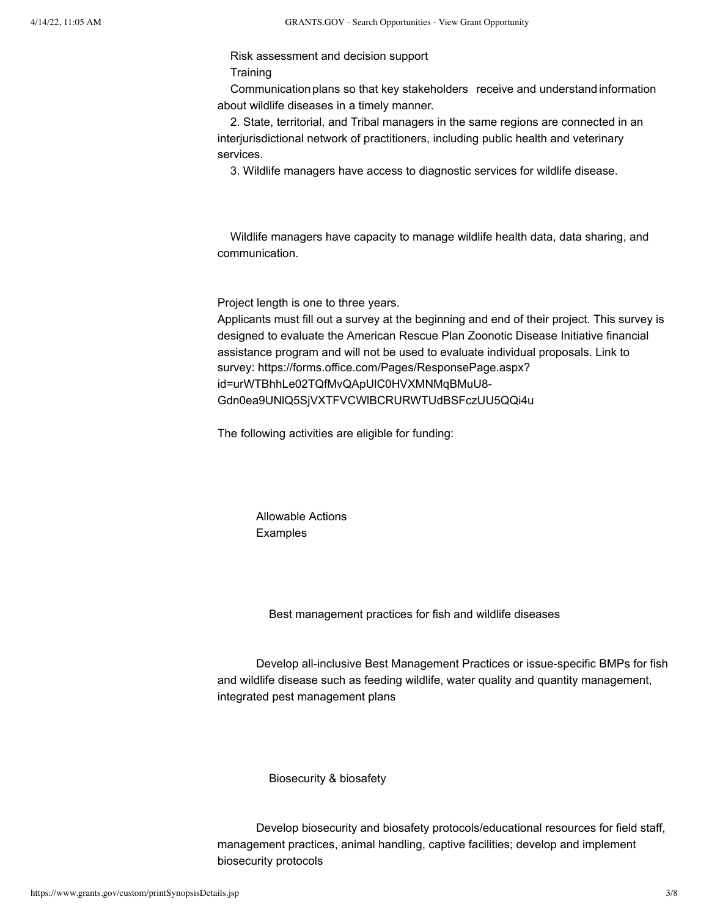## Risk assessment and decision support **Training**

Communication plans so that key stakeholders receive and understand information about wildlife diseases in a timely manner.

2. State, territorial, and Tribal managers in the same regions are connected in an interjurisdictional network of practitioners, including public health and veterinary services.

3. Wildlife managers have access to diagnostic services for wildlife disease.

Wildlife managers have capacity to manage wildlife health data, data sharing, and communication.

Project length is one to three years.

Applicants must fill out a survey at the beginning and end of their project. This survey is designed to evaluate the American Rescue Plan Zoonotic Disease Initiative financial assistance program and will not be used to evaluate individual proposals. Link to survey: https://forms.office.com/Pages/ResponsePage.aspx? id=urWTBhhLe02TQfMvQApUlC0HVXMNMqBMuU8- Gdn0ea9UNlQ5SjVXTFVCWlBCRURWTUdBSFczUU5QQi4u

The following activities are eligible for funding:

Allowable Actions Examples

Best management practices for fish and wildlife diseases

Develop all-inclusive Best Management Practices or issue-specific BMPs for fish and wildlife disease such as feeding wildlife, water quality and quantity management, integrated pest management plans

Biosecurity & biosafety

Develop biosecurity and biosafety protocols/educational resources for field staff, management practices, animal handling, captive facilities; develop and implement biosecurity protocols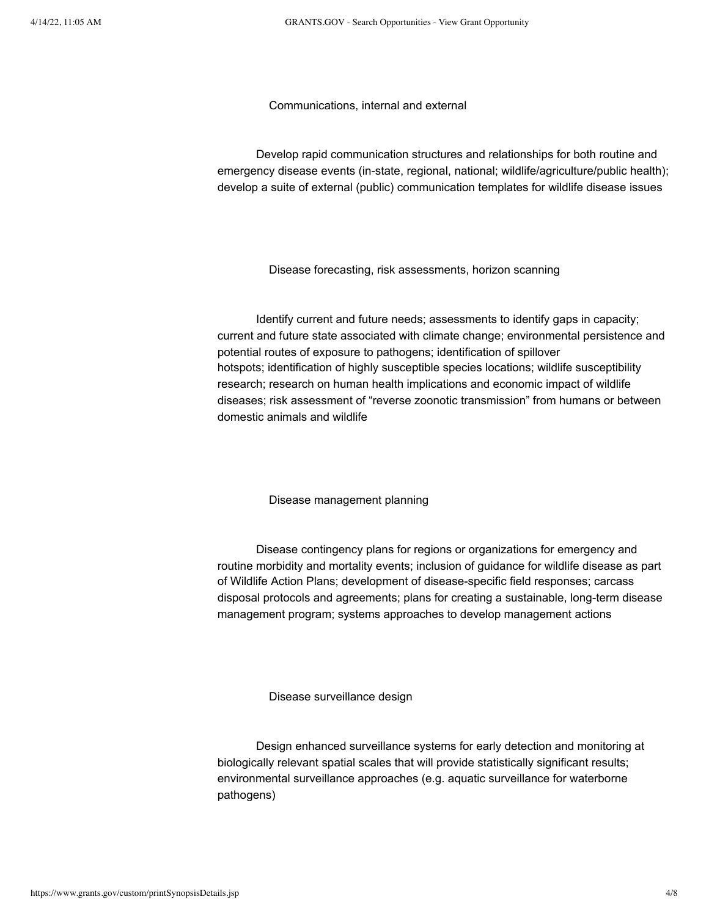Communications, internal and external

Develop rapid communication structures and relationships for both routine and emergency disease events (in-state, regional, national; wildlife/agriculture/public health); develop a suite of external (public) communication templates for wildlife disease issues

Disease forecasting, risk assessments, horizon scanning

Identify current and future needs; assessments to identify gaps in capacity; current and future state associated with climate change; environmental persistence and potential routes of exposure to pathogens; identification of spillover hotspots; identification of highly susceptible species locations; wildlife susceptibility research; research on human health implications and economic impact of wildlife diseases; risk assessment of "reverse zoonotic transmission" from humans or between domestic animals and wildlife

Disease management planning

Disease contingency plans for regions or organizations for emergency and routine morbidity and mortality events; inclusion of guidance for wildlife disease as part of Wildlife Action Plans; development of disease-specific field responses; carcass disposal protocols and agreements; plans for creating a sustainable, long-term disease management program; systems approaches to develop management actions

Disease surveillance design

Design enhanced surveillance systems for early detection and monitoring at biologically relevant spatial scales that will provide statistically significant results; environmental surveillance approaches (e.g. aquatic surveillance for waterborne pathogens)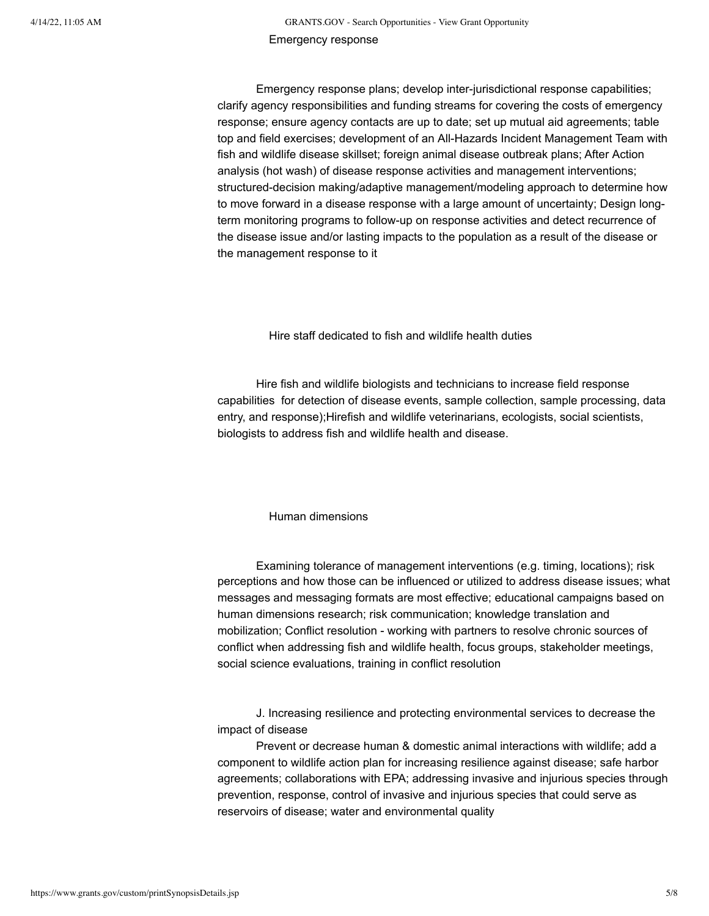Emergency response plans; develop inter-jurisdictional response capabilities; clarify agency responsibilities and funding streams for covering the costs of emergency response; ensure agency contacts are up to date; set up mutual aid agreements; table top and field exercises; development of an All-Hazards Incident Management Team with fish and wildlife disease skillset; foreign animal disease outbreak plans; After Action analysis (hot wash) of disease response activities and management interventions; structured-decision making/adaptive management/modeling approach to determine how to move forward in a disease response with a large amount of uncertainty; Design longterm monitoring programs to follow-up on response activities and detect recurrence of the disease issue and/or lasting impacts to the population as a result of the disease or the management response to it

Hire staff dedicated to fish and wildlife health duties

Hire fish and wildlife biologists and technicians to increase field response capabilities for detection of disease events, sample collection, sample processing, data entry, and response);Hirefish and wildlife veterinarians, ecologists, social scientists, biologists to address fish and wildlife health and disease.

Human dimensions

Examining tolerance of management interventions (e.g. timing, locations); risk perceptions and how those can be influenced or utilized to address disease issues; what messages and messaging formats are most effective; educational campaigns based on human dimensions research; risk communication; knowledge translation and mobilization; Conflict resolution - working with partners to resolve chronic sources of conflict when addressing fish and wildlife health, focus groups, stakeholder meetings, social science evaluations, training in conflict resolution

J. Increasing resilience and protecting environmental services to decrease the impact of disease

Prevent or decrease human & domestic animal interactions with wildlife; add a component to wildlife action plan for increasing resilience against disease; safe harbor agreements; collaborations with EPA; addressing invasive and injurious species through prevention, response, control of invasive and injurious species that could serve as reservoirs of disease; water and environmental quality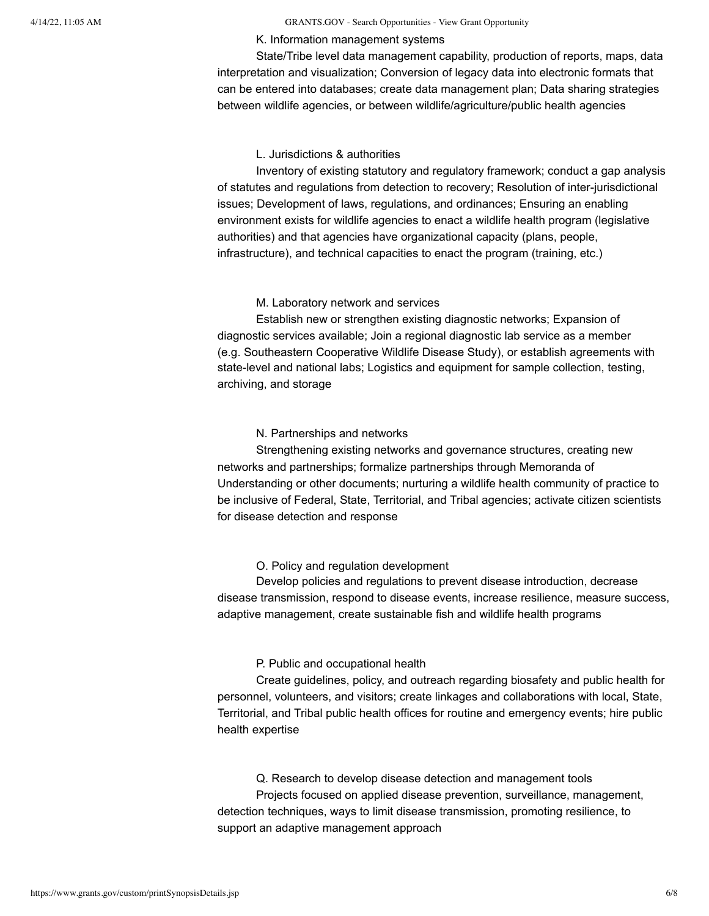#### 4/14/22, 11:05 AM GRANTS.GOV - Search Opportunities - View Grant Opportunity

#### K. Information management systems

State/Tribe level data management capability, production of reports, maps, data interpretation and visualization; Conversion of legacy data into electronic formats that can be entered into databases; create data management plan; Data sharing strategies between wildlife agencies, or between wildlife/agriculture/public health agencies

### L. Jurisdictions & authorities

Inventory of existing statutory and regulatory framework; conduct a gap analysis of statutes and regulations from detection to recovery; Resolution of inter-jurisdictional issues; Development of laws, regulations, and ordinances; Ensuring an enabling environment exists for wildlife agencies to enact a wildlife health program (legislative authorities) and that agencies have organizational capacity (plans, people, infrastructure), and technical capacities to enact the program (training, etc.)

#### M. Laboratory network and services

Establish new or strengthen existing diagnostic networks; Expansion of diagnostic services available; Join a regional diagnostic lab service as a member (e.g. Southeastern Cooperative Wildlife Disease Study), or establish agreements with state-level and national labs; Logistics and equipment for sample collection, testing, archiving, and storage

### N. Partnerships and networks

Strengthening existing networks and governance structures, creating new networks and partnerships; formalize partnerships through Memoranda of Understanding or other documents; nurturing a wildlife health community of practice to be inclusive of Federal, State, Territorial, and Tribal agencies; activate citizen scientists for disease detection and response

### O. Policy and regulation development

Develop policies and regulations to prevent disease introduction, decrease disease transmission, respond to disease events, increase resilience, measure success, adaptive management, create sustainable fish and wildlife health programs

### P. Public and occupational health

Create guidelines, policy, and outreach regarding biosafety and public health for personnel, volunteers, and visitors; create linkages and collaborations with local, State, Territorial, and Tribal public health offices for routine and emergency events; hire public health expertise

Q. Research to develop disease detection and management tools Projects focused on applied disease prevention, surveillance, management, detection techniques, ways to limit disease transmission, promoting resilience, to support an adaptive management approach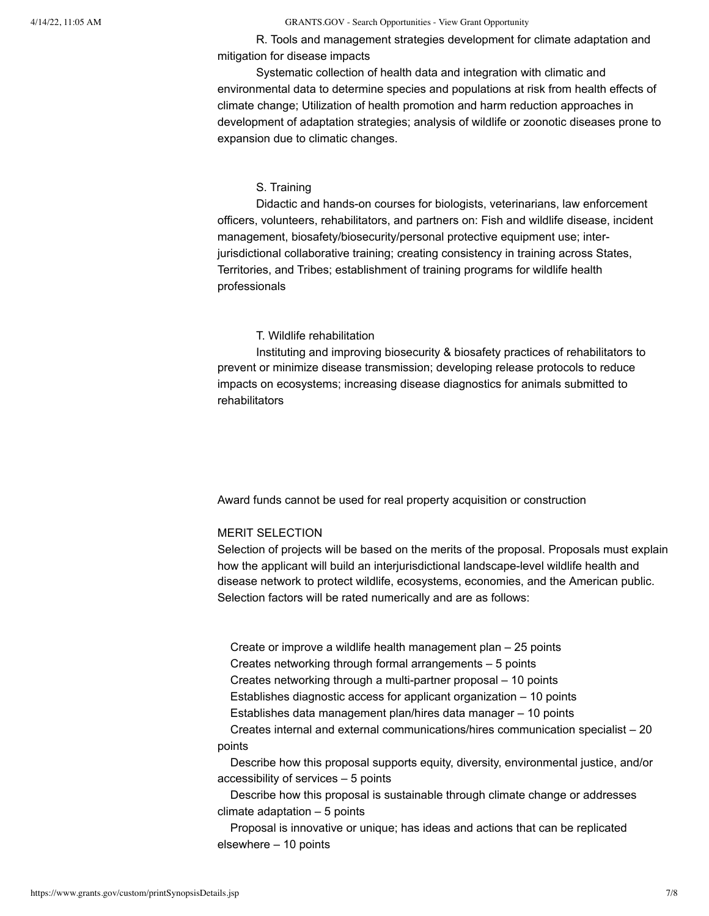4/14/22, 11:05 AM GRANTS.GOV - Search Opportunities - View Grant Opportunity

R. Tools and management strategies development for climate adaptation and mitigation for disease impacts

Systematic collection of health data and integration with climatic and environmental data to determine species and populations at risk from health effects of climate change; Utilization of health promotion and harm reduction approaches in development of adaptation strategies; analysis of wildlife or zoonotic diseases prone to expansion due to climatic changes.

### S. Training

Didactic and hands-on courses for biologists, veterinarians, law enforcement officers, volunteers, rehabilitators, and partners on: Fish and wildlife disease, incident management, biosafety/biosecurity/personal protective equipment use; interjurisdictional collaborative training; creating consistency in training across States, Territories, and Tribes; establishment of training programs for wildlife health professionals

### T. Wildlife rehabilitation

Instituting and improving biosecurity & biosafety practices of rehabilitators to prevent or minimize disease transmission; developing release protocols to reduce impacts on ecosystems; increasing disease diagnostics for animals submitted to rehabilitators

Award funds cannot be used for real property acquisition or construction

#### MERIT SELECTION

Selection of projects will be based on the merits of the proposal. Proposals must explain how the applicant will build an interjurisdictional landscape-level wildlife health and disease network to protect wildlife, ecosystems, economies, and the American public. Selection factors will be rated numerically and are as follows:

Create or improve a wildlife health management plan – 25 points Creates networking through formal arrangements – 5 points Creates networking through a multi-partner proposal – 10 points Establishes diagnostic access for applicant organization – 10 points

Establishes data management plan/hires data manager – 10 points

Creates internal and external communications/hires communication specialist – 20 points

Describe how this proposal supports equity, diversity, environmental justice, and/or accessibility of services – 5 points

Describe how this proposal is sustainable through climate change or addresses climate adaptation – 5 points

Proposal is innovative or unique; has ideas and actions that can be replicated elsewhere – 10 points